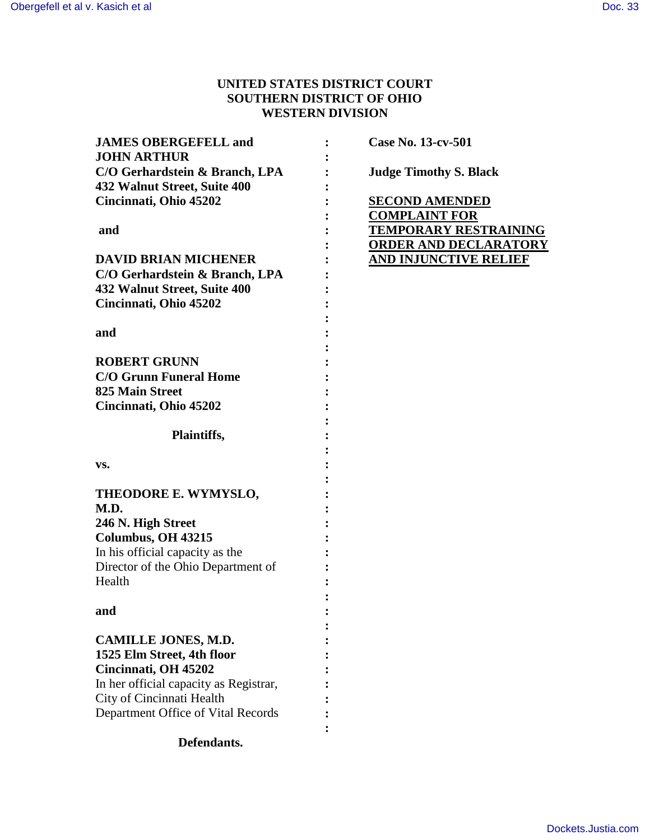# **UNITED STATES DISTRICT COURT SOUTHERN DISTRICT OF OHIO WESTERN DIVISION**

| <b>JAMES OBERGEFELL and</b><br><b>JOHN ARTHUR</b>              | Case No. 13-cv-501            |
|----------------------------------------------------------------|-------------------------------|
| C/O Gerhardstein & Branch, LPA<br>432 Walnut Street, Suite 400 | <b>Judge Timothy S. Black</b> |
| Cincinnati, Ohio 45202                                         | <b>SECOND AMENDED</b>         |
|                                                                | <b>COMPLAINT FOR</b>          |
| and                                                            | <b>TEMPORARY RESTRAINING</b>  |
|                                                                | <b>ORDER AND DECLARATORY</b>  |
| <b>DAVID BRIAN MICHENER</b>                                    | <b>AND INJUNCTIVE RELIEF</b>  |
| C/O Gerhardstein & Branch, LPA                                 |                               |
| 432 Walnut Street, Suite 400                                   |                               |
| Cincinnati, Ohio 45202                                         |                               |
| and                                                            |                               |
|                                                                |                               |
| <b>ROBERT GRUNN</b>                                            |                               |
| <b>C/O Grunn Funeral Home</b>                                  |                               |
| <b>825 Main Street</b>                                         |                               |
| Cincinnati, Ohio 45202                                         |                               |
|                                                                |                               |
| Plaintiffs,                                                    |                               |
|                                                                |                               |
| VS.                                                            |                               |
|                                                                |                               |
| THEODORE E. WYMYSLO,                                           |                               |
| M.D.                                                           |                               |
| 246 N. High Street                                             |                               |
| Columbus, OH 43215                                             |                               |
| In his official capacity as the                                |                               |
| Director of the Ohio Department of<br>Health                   |                               |
|                                                                |                               |
| and                                                            |                               |
|                                                                |                               |
| <b>CAMILLE JONES, M.D.</b>                                     |                               |
| 1525 Elm Street, 4th floor                                     |                               |
| Cincinnati, OH 45202                                           |                               |
| In her official capacity as Registrar,                         |                               |
| City of Cincinnati Health                                      |                               |
| Department Office of Vital Records                             |                               |
|                                                                |                               |

# **Defendants.**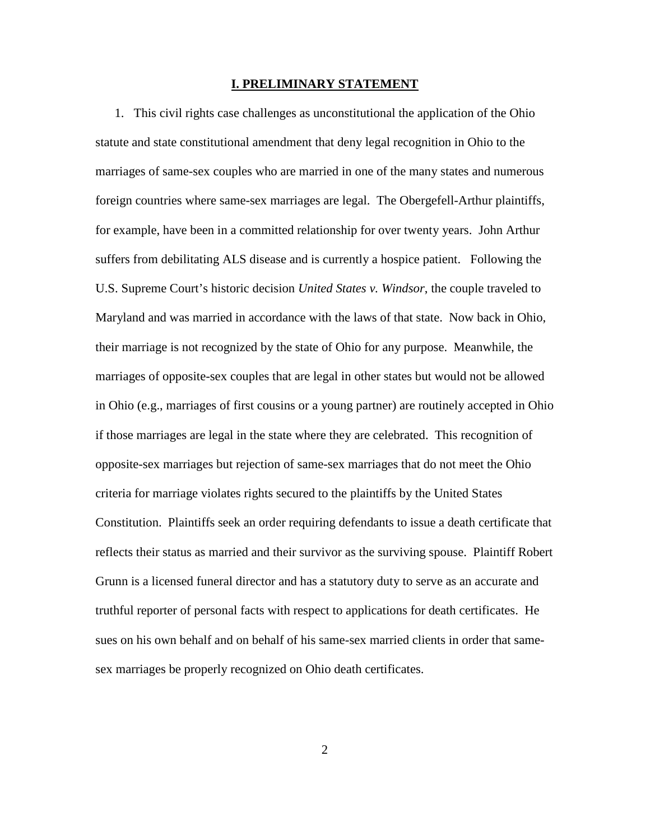### **I. PRELIMINARY STATEMENT**

1. This civil rights case challenges as unconstitutional the application of the Ohio statute and state constitutional amendment that deny legal recognition in Ohio to the marriages of same-sex couples who are married in one of the many states and numerous foreign countries where same-sex marriages are legal. The Obergefell-Arthur plaintiffs, for example, have been in a committed relationship for over twenty years. John Arthur suffers from debilitating ALS disease and is currently a hospice patient. Following the U.S. Supreme Court's historic decision *United States v. Windsor*, the couple traveled to Maryland and was married in accordance with the laws of that state. Now back in Ohio, their marriage is not recognized by the state of Ohio for any purpose. Meanwhile, the marriages of opposite-sex couples that are legal in other states but would not be allowed in Ohio (e.g., marriages of first cousins or a young partner) are routinely accepted in Ohio if those marriages are legal in the state where they are celebrated. This recognition of opposite-sex marriages but rejection of same-sex marriages that do not meet the Ohio criteria for marriage violates rights secured to the plaintiffs by the United States Constitution. Plaintiffs seek an order requiring defendants to issue a death certificate that reflects their status as married and their survivor as the surviving spouse. Plaintiff Robert Grunn is a licensed funeral director and has a statutory duty to serve as an accurate and truthful reporter of personal facts with respect to applications for death certificates. He sues on his own behalf and on behalf of his same-sex married clients in order that samesex marriages be properly recognized on Ohio death certificates.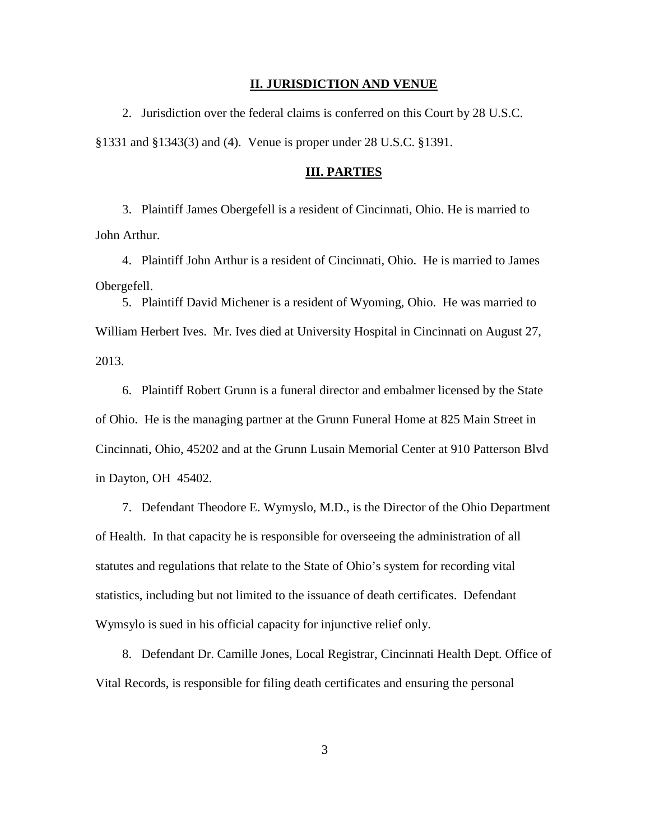### **II. JURISDICTION AND VENUE**

2. Jurisdiction over the federal claims is conferred on this Court by 28 U.S.C. §1331 and §1343(3) and (4). Venue is proper under 28 U.S.C. §1391.

### **III. PARTIES**

3. Plaintiff James Obergefell is a resident of Cincinnati, Ohio. He is married to John Arthur.

4. Plaintiff John Arthur is a resident of Cincinnati, Ohio. He is married to James Obergefell.

5. Plaintiff David Michener is a resident of Wyoming, Ohio. He was married to William Herbert Ives. Mr. Ives died at University Hospital in Cincinnati on August 27, 2013.

6. Plaintiff Robert Grunn is a funeral director and embalmer licensed by the State of Ohio. He is the managing partner at the Grunn Funeral Home at 825 Main Street in Cincinnati, Ohio, 45202 and at the Grunn Lusain Memorial Center at 910 Patterson Blvd in Dayton, OH 45402.

7. Defendant Theodore E. Wymyslo, M.D., is the Director of the Ohio Department of Health. In that capacity he is responsible for overseeing the administration of all statutes and regulations that relate to the State of Ohio's system for recording vital statistics, including but not limited to the issuance of death certificates. Defendant Wymsylo is sued in his official capacity for injunctive relief only.

8. Defendant Dr. Camille Jones, Local Registrar, Cincinnati Health Dept. Office of Vital Records, is responsible for filing death certificates and ensuring the personal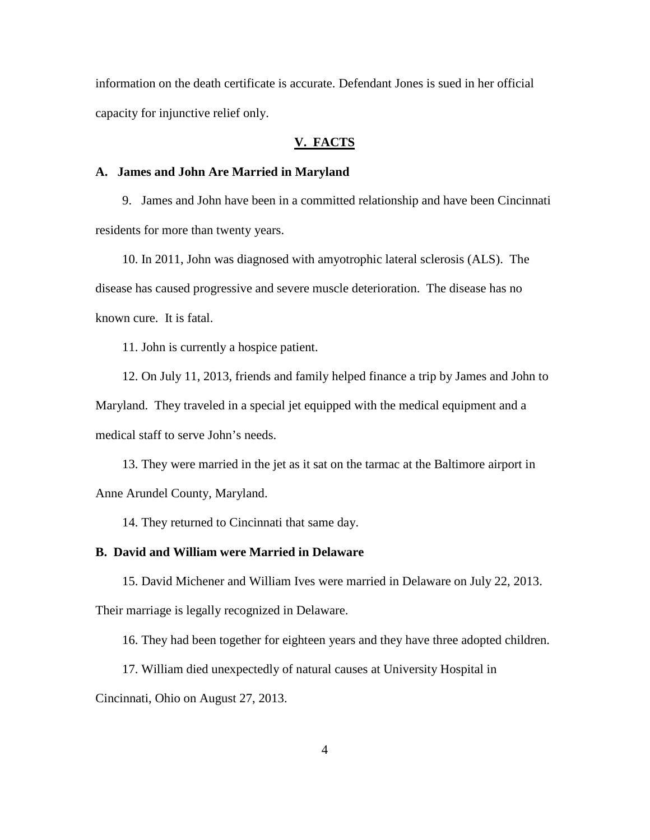information on the death certificate is accurate. Defendant Jones is sued in her official capacity for injunctive relief only.

## **V. FACTS**

## **A. James and John Are Married in Maryland**

9. James and John have been in a committed relationship and have been Cincinnati residents for more than twenty years.

10. In 2011, John was diagnosed with amyotrophic lateral sclerosis (ALS). The disease has caused progressive and severe muscle deterioration. The disease has no known cure. It is fatal.

11. John is currently a hospice patient.

12. On July 11, 2013, friends and family helped finance a trip by James and John to Maryland. They traveled in a special jet equipped with the medical equipment and a medical staff to serve John's needs.

13. They were married in the jet as it sat on the tarmac at the Baltimore airport in Anne Arundel County, Maryland.

14. They returned to Cincinnati that same day.

## **B. David and William were Married in Delaware**

15. David Michener and William Ives were married in Delaware on July 22, 2013. Their marriage is legally recognized in Delaware.

16. They had been together for eighteen years and they have three adopted children.

17. William died unexpectedly of natural causes at University Hospital in

Cincinnati, Ohio on August 27, 2013.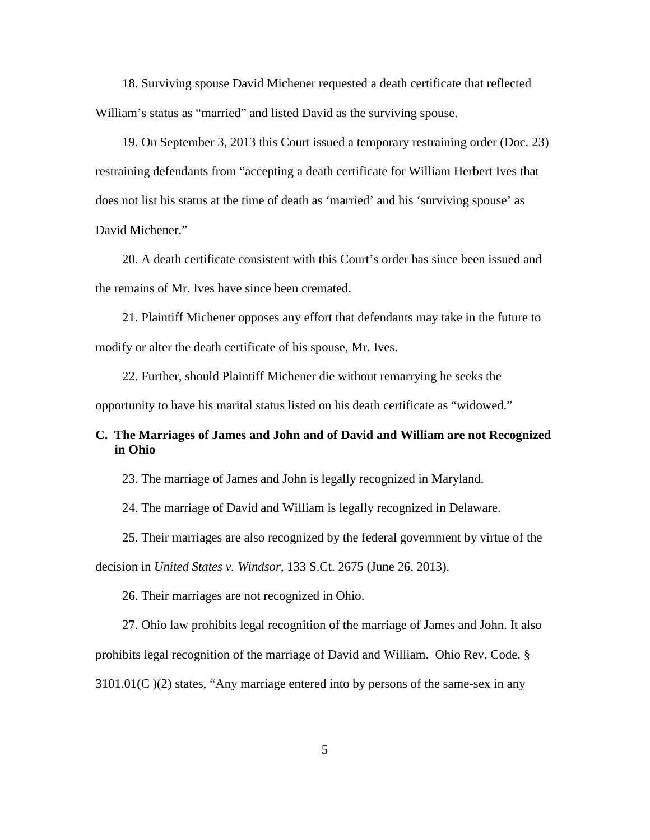18. Surviving spouse David Michener requested a death certificate that reflected William's status as "married" and listed David as the surviving spouse.

19. On September 3, 2013 this Court issued a temporary restraining order (Doc. 23) restraining defendants from "accepting a death certificate for William Herbert Ives that does not list his status at the time of death as 'married' and his 'surviving spouse' as David Michener."

20. A death certificate consistent with this Court's order has since been issued and the remains of Mr. Ives have since been cremated.

21. Plaintiff Michener opposes any effort that defendants may take in the future to modify or alter the death certificate of his spouse, Mr. Ives.

22. Further, should Plaintiff Michener die without remarrying he seeks the opportunity to have his marital status listed on his death certificate as "widowed."

## **C. The Marriages of James and John and of David and William are not Recognized in Ohio**

23. The marriage of James and John is legally recognized in Maryland.

24. The marriage of David and William is legally recognized in Delaware.

25. Their marriages are also recognized by the federal government by virtue of the

decision in *United States v. Windsor*, 133 S.Ct. 2675 (June 26, 2013).

26. Their marriages are not recognized in Ohio.

27. Ohio law prohibits legal recognition of the marriage of James and John. It also

prohibits legal recognition of the marriage of David and William. Ohio Rev. Code. §

3101.01(C )(2) states, "Any marriage entered into by persons of the same-sex in any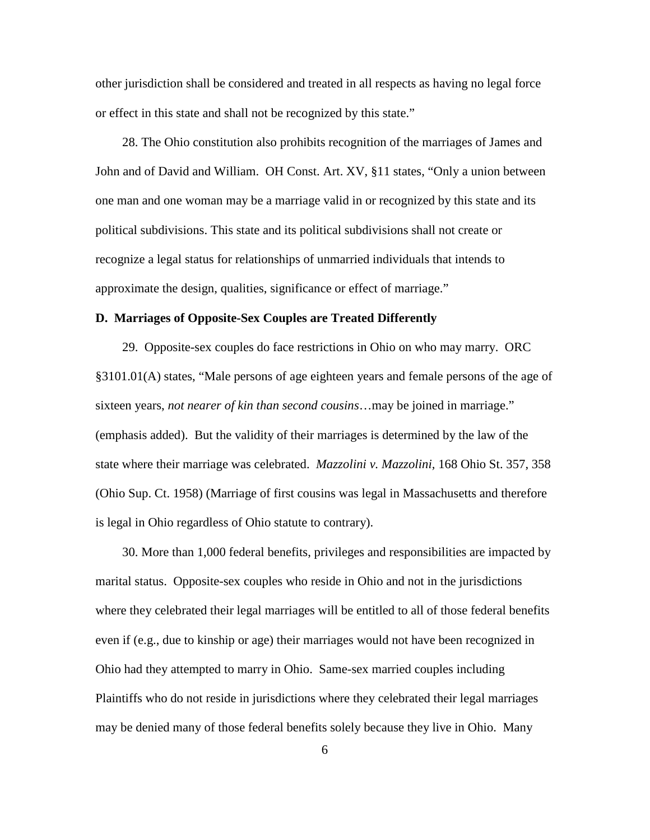other jurisdiction shall be considered and treated in all respects as having no legal force or effect in this state and shall not be recognized by this state."

28. The Ohio constitution also prohibits recognition of the marriages of James and John and of David and William. OH Const. Art. XV, §11 states, "Only a union between one man and one woman may be a marriage valid in or recognized by this state and its political subdivisions. This state and its political subdivisions shall not create or recognize a legal status for relationships of unmarried individuals that intends to approximate the design, qualities, significance or effect of marriage."

## **D. Marriages of Opposite-Sex Couples are Treated Differently**

29. Opposite-sex couples do face restrictions in Ohio on who may marry. ORC §3101.01(A) states, "Male persons of age eighteen years and female persons of the age of sixteen years, *not nearer of kin than second cousins*…may be joined in marriage." (emphasis added). But the validity of their marriages is determined by the law of the state where their marriage was celebrated. *Mazzolini v. Mazzolini,* 168 Ohio St. 357, 358 (Ohio Sup. Ct. 1958) (Marriage of first cousins was legal in Massachusetts and therefore is legal in Ohio regardless of Ohio statute to contrary).

30. More than 1,000 federal benefits, privileges and responsibilities are impacted by marital status. Opposite-sex couples who reside in Ohio and not in the jurisdictions where they celebrated their legal marriages will be entitled to all of those federal benefits even if (e.g., due to kinship or age) their marriages would not have been recognized in Ohio had they attempted to marry in Ohio. Same-sex married couples including Plaintiffs who do not reside in jurisdictions where they celebrated their legal marriages may be denied many of those federal benefits solely because they live in Ohio. Many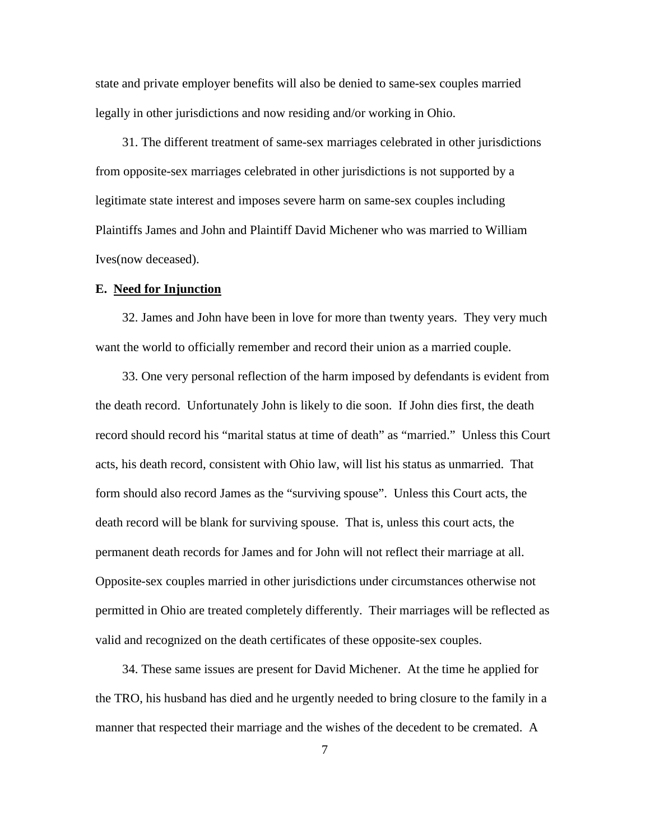state and private employer benefits will also be denied to same-sex couples married legally in other jurisdictions and now residing and/or working in Ohio.

31. The different treatment of same-sex marriages celebrated in other jurisdictions from opposite-sex marriages celebrated in other jurisdictions is not supported by a legitimate state interest and imposes severe harm on same-sex couples including Plaintiffs James and John and Plaintiff David Michener who was married to William Ives(now deceased).

### **E. Need for Injunction**

32. James and John have been in love for more than twenty years. They very much want the world to officially remember and record their union as a married couple.

33. One very personal reflection of the harm imposed by defendants is evident from the death record. Unfortunately John is likely to die soon. If John dies first, the death record should record his "marital status at time of death" as "married." Unless this Court acts, his death record, consistent with Ohio law, will list his status as unmarried. That form should also record James as the "surviving spouse". Unless this Court acts, the death record will be blank for surviving spouse. That is, unless this court acts, the permanent death records for James and for John will not reflect their marriage at all. Opposite-sex couples married in other jurisdictions under circumstances otherwise not permitted in Ohio are treated completely differently. Their marriages will be reflected as valid and recognized on the death certificates of these opposite-sex couples.

34. These same issues are present for David Michener. At the time he applied for the TRO, his husband has died and he urgently needed to bring closure to the family in a manner that respected their marriage and the wishes of the decedent to be cremated. A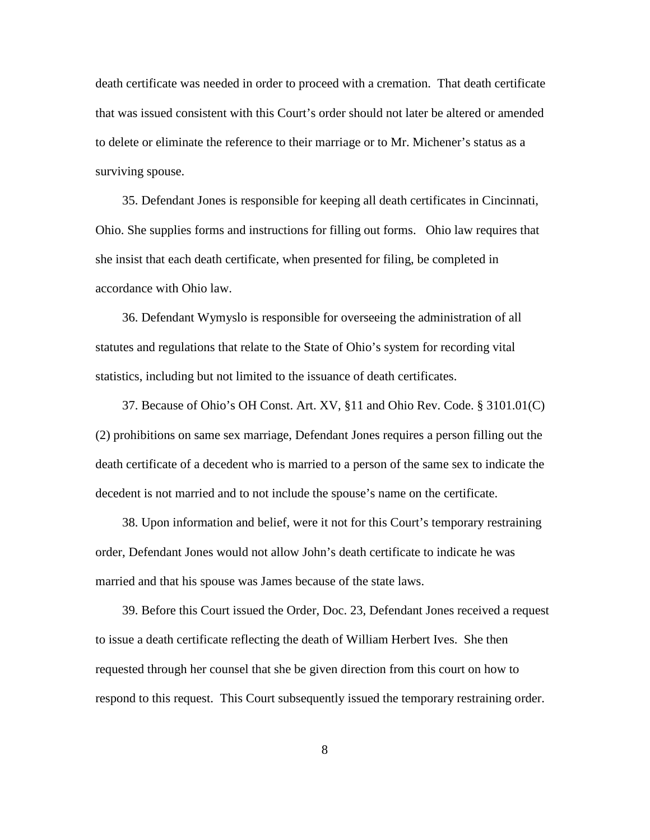death certificate was needed in order to proceed with a cremation. That death certificate that was issued consistent with this Court's order should not later be altered or amended to delete or eliminate the reference to their marriage or to Mr. Michener's status as a surviving spouse.

35. Defendant Jones is responsible for keeping all death certificates in Cincinnati, Ohio. She supplies forms and instructions for filling out forms. Ohio law requires that she insist that each death certificate, when presented for filing, be completed in accordance with Ohio law.

36. Defendant Wymyslo is responsible for overseeing the administration of all statutes and regulations that relate to the State of Ohio's system for recording vital statistics, including but not limited to the issuance of death certificates.

37. Because of Ohio's OH Const. Art. XV, §11 and Ohio Rev. Code. § 3101.01(C) (2) prohibitions on same sex marriage, Defendant Jones requires a person filling out the death certificate of a decedent who is married to a person of the same sex to indicate the decedent is not married and to not include the spouse's name on the certificate.

38. Upon information and belief, were it not for this Court's temporary restraining order, Defendant Jones would not allow John's death certificate to indicate he was married and that his spouse was James because of the state laws.

39. Before this Court issued the Order, Doc. 23, Defendant Jones received a request to issue a death certificate reflecting the death of William Herbert Ives. She then requested through her counsel that she be given direction from this court on how to respond to this request. This Court subsequently issued the temporary restraining order.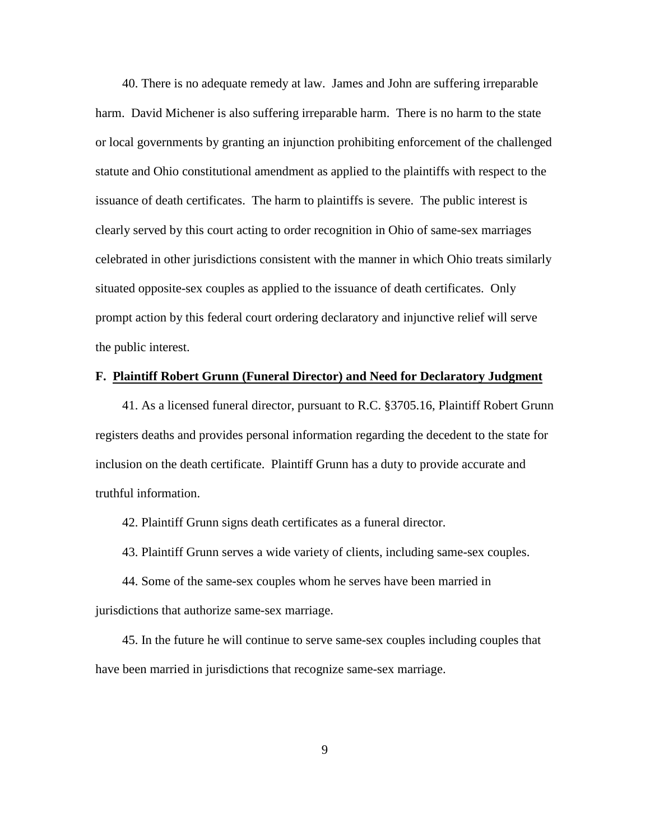40. There is no adequate remedy at law. James and John are suffering irreparable harm. David Michener is also suffering irreparable harm. There is no harm to the state or local governments by granting an injunction prohibiting enforcement of the challenged statute and Ohio constitutional amendment as applied to the plaintiffs with respect to the issuance of death certificates. The harm to plaintiffs is severe. The public interest is clearly served by this court acting to order recognition in Ohio of same-sex marriages celebrated in other jurisdictions consistent with the manner in which Ohio treats similarly situated opposite-sex couples as applied to the issuance of death certificates. Only prompt action by this federal court ordering declaratory and injunctive relief will serve the public interest.

## **F. Plaintiff Robert Grunn (Funeral Director) and Need for Declaratory Judgment**

41. As a licensed funeral director, pursuant to R.C. §3705.16, Plaintiff Robert Grunn registers deaths and provides personal information regarding the decedent to the state for inclusion on the death certificate. Plaintiff Grunn has a duty to provide accurate and truthful information.

42. Plaintiff Grunn signs death certificates as a funeral director.

43. Plaintiff Grunn serves a wide variety of clients, including same-sex couples.

44. Some of the same-sex couples whom he serves have been married in jurisdictions that authorize same-sex marriage.

45. In the future he will continue to serve same-sex couples including couples that have been married in jurisdictions that recognize same-sex marriage.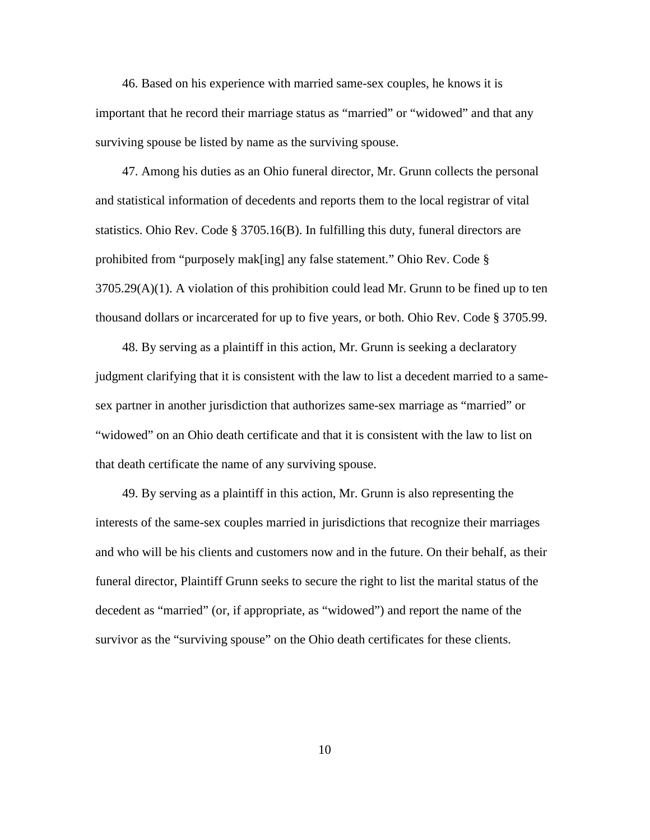46. Based on his experience with married same-sex couples, he knows it is important that he record their marriage status as "married" or "widowed" and that any surviving spouse be listed by name as the surviving spouse.

47. Among his duties as an Ohio funeral director, Mr. Grunn collects the personal and statistical information of decedents and reports them to the local registrar of vital statistics. Ohio Rev. Code § 3705.16(B). In fulfilling this duty, funeral directors are prohibited from "purposely mak[ing] any false statement." Ohio Rev. Code §  $3705.29(A)(1)$ . A violation of this prohibition could lead Mr. Grunn to be fined up to ten thousand dollars or incarcerated for up to five years, or both. Ohio Rev. Code § 3705.99.

48. By serving as a plaintiff in this action, Mr. Grunn is seeking a declaratory judgment clarifying that it is consistent with the law to list a decedent married to a samesex partner in another jurisdiction that authorizes same-sex marriage as "married" or "widowed" on an Ohio death certificate and that it is consistent with the law to list on that death certificate the name of any surviving spouse.

49. By serving as a plaintiff in this action, Mr. Grunn is also representing the interests of the same-sex couples married in jurisdictions that recognize their marriages and who will be his clients and customers now and in the future. On their behalf, as their funeral director, Plaintiff Grunn seeks to secure the right to list the marital status of the decedent as "married" (or, if appropriate, as "widowed") and report the name of the survivor as the "surviving spouse" on the Ohio death certificates for these clients.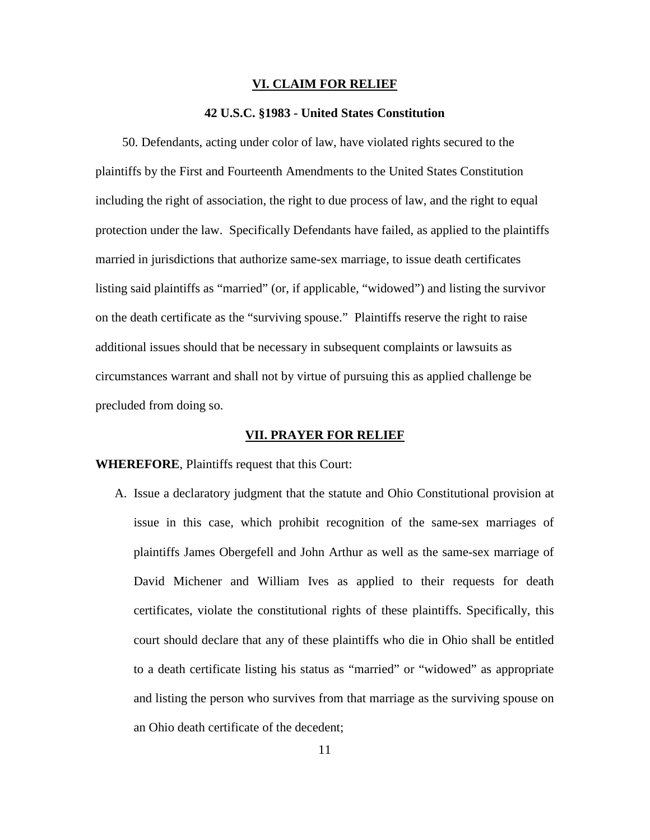### **VI. CLAIM FOR RELIEF**

### **42 U.S.C. §1983 - United States Constitution**

50. Defendants, acting under color of law, have violated rights secured to the plaintiffs by the First and Fourteenth Amendments to the United States Constitution including the right of association, the right to due process of law, and the right to equal protection under the law. Specifically Defendants have failed, as applied to the plaintiffs married in jurisdictions that authorize same-sex marriage, to issue death certificates listing said plaintiffs as "married" (or, if applicable, "widowed") and listing the survivor on the death certificate as the "surviving spouse." Plaintiffs reserve the right to raise additional issues should that be necessary in subsequent complaints or lawsuits as circumstances warrant and shall not by virtue of pursuing this as applied challenge be precluded from doing so.

#### **VII. PRAYER FOR RELIEF**

### **WHEREFORE**, Plaintiffs request that this Court:

A. Issue a declaratory judgment that the statute and Ohio Constitutional provision at issue in this case, which prohibit recognition of the same-sex marriages of plaintiffs James Obergefell and John Arthur as well as the same-sex marriage of David Michener and William Ives as applied to their requests for death certificates, violate the constitutional rights of these plaintiffs. Specifically, this court should declare that any of these plaintiffs who die in Ohio shall be entitled to a death certificate listing his status as "married" or "widowed" as appropriate and listing the person who survives from that marriage as the surviving spouse on an Ohio death certificate of the decedent;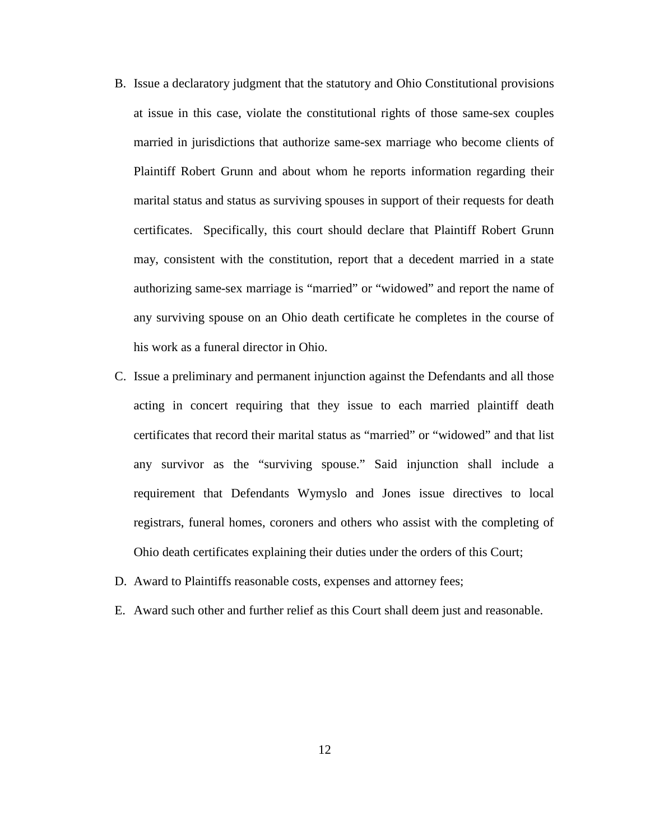- B. Issue a declaratory judgment that the statutory and Ohio Constitutional provisions at issue in this case, violate the constitutional rights of those same-sex couples married in jurisdictions that authorize same-sex marriage who become clients of Plaintiff Robert Grunn and about whom he reports information regarding their marital status and status as surviving spouses in support of their requests for death certificates. Specifically, this court should declare that Plaintiff Robert Grunn may, consistent with the constitution, report that a decedent married in a state authorizing same-sex marriage is "married" or "widowed" and report the name of any surviving spouse on an Ohio death certificate he completes in the course of his work as a funeral director in Ohio.
- C. Issue a preliminary and permanent injunction against the Defendants and all those acting in concert requiring that they issue to each married plaintiff death certificates that record their marital status as "married" or "widowed" and that list any survivor as the "surviving spouse." Said injunction shall include a requirement that Defendants Wymyslo and Jones issue directives to local registrars, funeral homes, coroners and others who assist with the completing of Ohio death certificates explaining their duties under the orders of this Court;
- D. Award to Plaintiffs reasonable costs, expenses and attorney fees;
- E. Award such other and further relief as this Court shall deem just and reasonable.